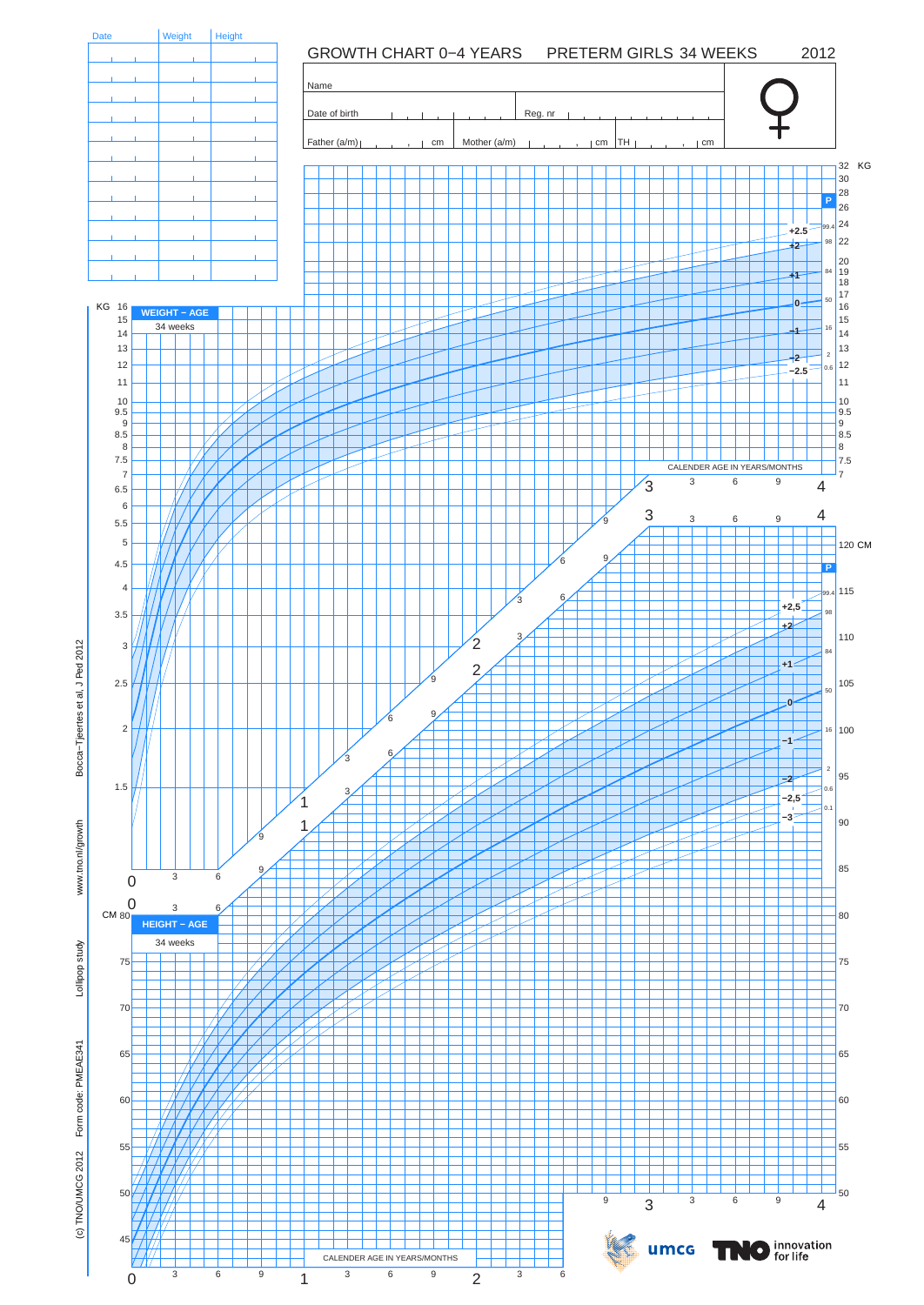